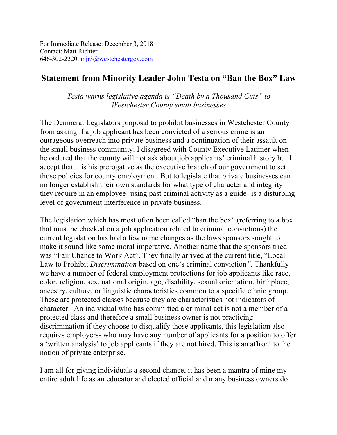For Immediate Release: December 3, 2018 Contact: Matt Richter 646-302-2220, mjr3@westchestergov.com

## **Statement from Minority Leader John Testa on "Ban the Box" Law**

*Testa warns legislative agenda is "Death by a Thousand Cuts" to Westchester County small businesses*

The Democrat Legislators proposal to prohibit businesses in Westchester County from asking if a job applicant has been convicted of a serious crime is an outrageous overreach into private business and a continuation of their assault on the small business community. I disagreed with County Executive Latimer when he ordered that the county will not ask about job applicants' criminal history but I accept that it is his prerogative as the executive branch of our government to set those policies for county employment. But to legislate that private businesses can no longer establish their own standards for what type of character and integrity they require in an employee- using past criminal activity as a guide- is a disturbing level of government interference in private business.

The legislation which has most often been called "ban the box" (referring to a box that must be checked on a job application related to criminal convictions) the current legislation has had a few name changes as the laws sponsors sought to make it sound like some moral imperative. Another name that the sponsors tried was "Fair Chance to Work Act". They finally arrived at the current title, "Local Law to Prohibit *Discrimination* based on one's criminal conviction*".* Thankfully we have a number of federal employment protections for job applicants like race, color, religion, sex, national origin, age, disability, sexual orientation, birthplace, ancestry, culture, or linguistic characteristics common to a specific ethnic group. These are protected classes because they are characteristics not indicators of character. An individual who has committed a criminal act is not a member of a protected class and therefore a small business owner is not practicing discrimination if they choose to disqualify those applicants, this legislation also requires employers- who may have any number of applicants for a position to offer a 'written analysis' to job applicants if they are not hired. This is an affront to the notion of private enterprise.

I am all for giving individuals a second chance, it has been a mantra of mine my entire adult life as an educator and elected official and many business owners do